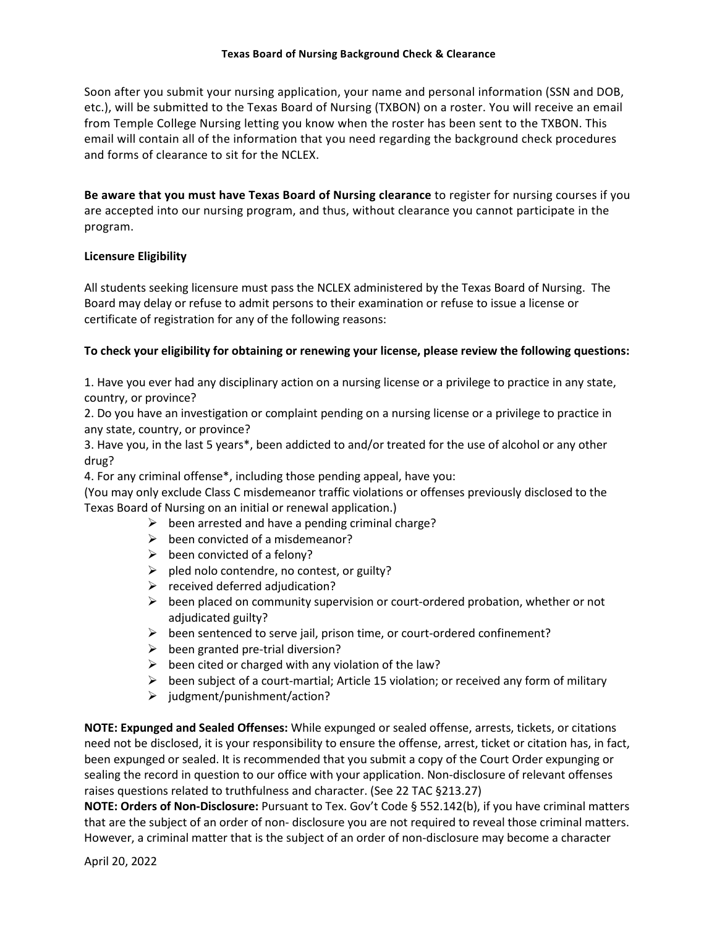## **Texas Board of Nursing Background Check & Clearance**

Soon after you submit your nursing application, your name and personal information (SSN and DOB, etc.), will be submitted to the Texas Board of Nursing (TXBON) on a roster. You will receive an email from Temple College Nursing letting you know when the roster has been sent to the TXBON. This email will contain all of the information that you need regarding the background check procedures and forms of clearance to sit for the NCLEX.

**Be aware that you must have Texas Board of Nursing clearance** to register for nursing courses if you are accepted into our nursing program, and thus, without clearance you cannot participate in the program.

## **Licensure Eligibility**

All students seeking licensure must pass the NCLEX administered by the Texas Board of Nursing. The Board may delay or refuse to admit persons to their examination or refuse to issue a license or certificate of registration for any of the following reasons:

## **To check your eligibility for obtaining or renewing your license, please review the following questions:**

1. Have you ever had any disciplinary action on a nursing license or a privilege to practice in any state, country, or province?

2. Do you have an investigation or complaint pending on a nursing license or a privilege to practice in any state, country, or province?

3. Have you, in the last 5 years\*, been addicted to and/or treated for the use of alcohol or any other drug?

4. For any criminal offense\*, including those pending appeal, have you:

(You may only exclude Class C misdemeanor traffic violations or offenses previously disclosed to the Texas Board of Nursing on an initial or renewal application.)

- $\triangleright$  been arrested and have a pending criminal charge?
- $\triangleright$  been convicted of a misdemeanor?
- $\triangleright$  been convicted of a felony?
- $\triangleright$  pled nolo contendre, no contest, or guilty?
- $\triangleright$  received deferred adjudication?
- $\triangleright$  been placed on community supervision or court-ordered probation, whether or not adjudicated guilty?
- $\triangleright$  been sentenced to serve jail, prison time, or court-ordered confinement?
- $\triangleright$  been granted pre-trial diversion?
- $\triangleright$  been cited or charged with any violation of the law?
- $\triangleright$  been subject of a court-martial; Article 15 violation; or received any form of military
- $\geq$  judgment/punishment/action?

**NOTE: Expunged and Sealed Offenses:** While expunged or sealed offense, arrests, tickets, or citations need not be disclosed, it is your responsibility to ensure the offense, arrest, ticket or citation has, in fact, been expunged or sealed. It is recommended that you submit a copy of the Court Order expunging or sealing the record in question to our office with your application. Non-disclosure of relevant offenses raises questions related to truthfulness and character. (See 22 TAC §213.27)

**NOTE: Orders of Non-Disclosure:** Pursuant to Tex. Gov't Code § 552.142(b), if you have criminal matters that are the subject of an order of non- disclosure you are not required to reveal those criminal matters. However, a criminal matter that is the subject of an order of non-disclosure may become a character